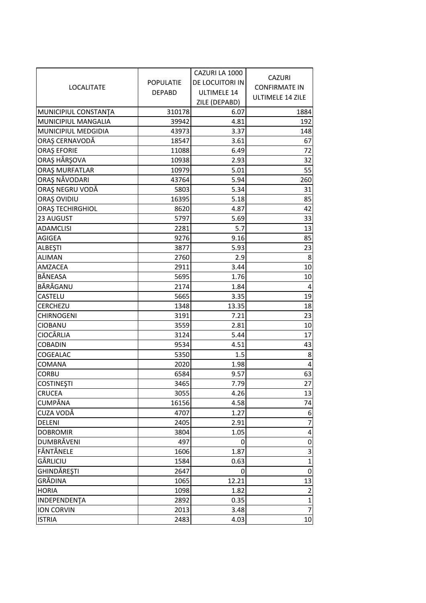| <b>LOCALITATE</b>             | <b>POPULATIE</b><br><b>DEPABD</b> | CAZURI LA 1000<br>DE LOCUITORI IN<br>ULTIMELE 14 | <b>CAZURI</b><br><b>CONFIRMATE IN</b><br><b>ULTIMELE 14 ZILE</b> |
|-------------------------------|-----------------------------------|--------------------------------------------------|------------------------------------------------------------------|
| MUNICIPIUL CONSTANTA          | 310178                            | ZILE (DEPABD)<br>6.07                            | 1884                                                             |
| MUNICIPIUL MANGALIA           | 39942                             | 4.81                                             | 192                                                              |
| MUNICIPIUL MEDGIDIA           | 43973                             | 3.37                                             | 148                                                              |
| ORAȘ CERNAVODĂ                | 18547                             | 3.61                                             | 67                                                               |
| <b>ORAȘ EFORIE</b>            | 11088                             | 6.49                                             | 72                                                               |
| ORAȘ HÂRȘOVA                  | 10938                             | 2.93                                             | 32                                                               |
| ORAȘ MURFATLAR                | 10979                             | 5.01                                             | 55                                                               |
| ORAȘ NĂVODARI                 | 43764                             | 5.94                                             | 260                                                              |
| ORAȘ NEGRU VODĂ               | 5803                              | 5.34                                             | 31                                                               |
| ORAȘ OVIDIU                   | 16395                             | 5.18                                             | 85                                                               |
| <b>ORAȘ TECHIRGHIOL</b>       | 8620                              | 4.87                                             | 42                                                               |
| 23 AUGUST                     | 5797                              | 5.69                                             | 33                                                               |
| <b>ADAMCLISI</b>              | 2281                              | 5.7                                              | 13                                                               |
| <b>AGIGEA</b>                 | 9276                              | 9.16                                             | 85                                                               |
| <b>ALBEŞTI</b>                | 3877                              | 5.93                                             | 23                                                               |
| <b>ALIMAN</b>                 | 2760                              | 2.9                                              | 8                                                                |
| AMZACEA                       | 2911                              | 3.44                                             | 10                                                               |
| BĂNEASA                       | 5695                              | 1.76                                             | 10                                                               |
| BĂRĂGANU                      | 2174                              | 1.84                                             | 4                                                                |
| CASTELU                       | 5665                              | 3.35                                             | 19                                                               |
| <b>CERCHEZU</b>               | 1348                              | 13.35                                            | 18                                                               |
| <b>CHIRNOGENI</b>             | 3191                              | 7.21                                             | 23                                                               |
| <b>CIOBANU</b>                | 3559                              | 2.81                                             | 10                                                               |
| <b>CIOCÂRLIA</b>              | 3124                              | 5.44                                             | 17                                                               |
| <b>COBADIN</b>                | 9534                              | 4.51                                             | 43                                                               |
| COGEALAC                      | 5350                              | 1.5                                              | 8                                                                |
| <b>COMANA</b>                 | 2020                              | 1.98                                             | 4                                                                |
| <b>CORBU</b>                  | 6584                              | 9.57                                             | 63                                                               |
| <b>COSTINEȘTI</b>             | 3465                              | 7.79                                             | 27                                                               |
| <b>CRUCEA</b>                 | 3055                              | 4.26                                             | 13                                                               |
| CUMPĂNA                       | 16156                             | 4.58                                             | 74                                                               |
| CUZA VODĂ                     | 4707                              | 1.27                                             | 6                                                                |
| <b>DELENI</b>                 | 2405                              | 2.91                                             | $\overline{7}$                                                   |
| <b>DOBROMIR</b><br>DUMBRĂVENI | 3804<br>497                       | 1.05                                             | 4                                                                |
| FÂNTÂNELE                     |                                   | 0<br>1.87                                        | 0<br>3                                                           |
| GÂRLICIU                      | 1606<br>1584                      | 0.63                                             |                                                                  |
| GHINDĂREȘTI                   | 2647                              | O                                                | $\mathbf{1}$<br>0                                                |
| GRĂDINA                       | 1065                              | 12.21                                            | 13                                                               |
| <b>HORIA</b>                  | 1098                              | 1.82                                             | $\overline{2}$                                                   |
| INDEPENDENTA                  | 2892                              | 0.35                                             | $\mathbf{1}$                                                     |
| <b>ION CORVIN</b>             | 2013                              | 3.48                                             | $\overline{7}$                                                   |
| <b>ISTRIA</b>                 | 2483                              | 4.03                                             | 10                                                               |